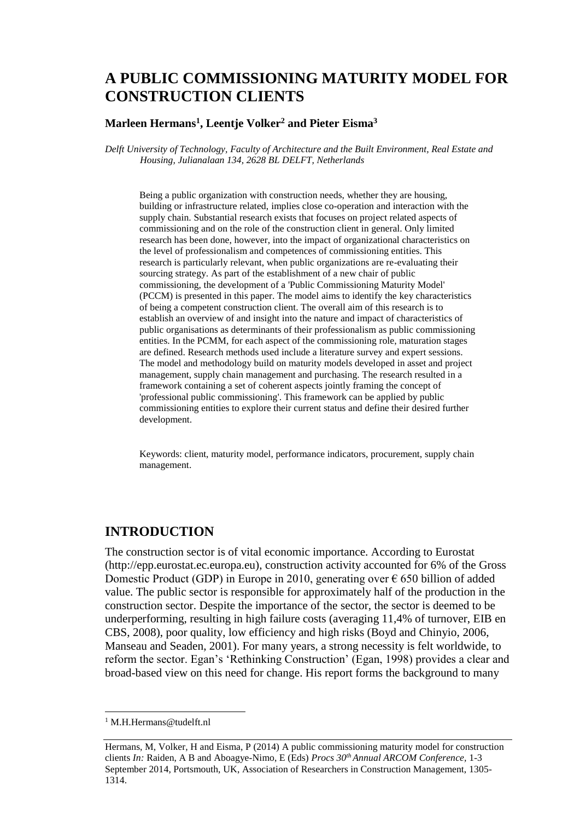# **A PUBLIC COMMISSIONING MATURITY MODEL FOR CONSTRUCTION CLIENTS**

#### **Marleen Hermans<sup>1</sup> , Leentje Volker<sup>2</sup> and Pieter Eisma<sup>3</sup>**

*Delft University of Technology, Faculty of Architecture and the Built Environment, Real Estate and Housing, Julianalaan 134, 2628 BL DELFT, Netherlands* 

Being a public organization with construction needs, whether they are housing, building or infrastructure related, implies close co-operation and interaction with the supply chain. Substantial research exists that focuses on project related aspects of commissioning and on the role of the construction client in general. Only limited research has been done, however, into the impact of organizational characteristics on the level of professionalism and competences of commissioning entities. This research is particularly relevant, when public organizations are re-evaluating their sourcing strategy. As part of the establishment of a new chair of public commissioning, the development of a 'Public Commissioning Maturity Model' (PCCM) is presented in this paper. The model aims to identify the key characteristics of being a competent construction client. The overall aim of this research is to establish an overview of and insight into the nature and impact of characteristics of public organisations as determinants of their professionalism as public commissioning entities. In the PCMM, for each aspect of the commissioning role, maturation stages are defined. Research methods used include a literature survey and expert sessions. The model and methodology build on maturity models developed in asset and project management, supply chain management and purchasing. The research resulted in a framework containing a set of coherent aspects jointly framing the concept of 'professional public commissioning'. This framework can be applied by public commissioning entities to explore their current status and define their desired further development.

Keywords: client, maturity model, performance indicators, procurement, supply chain management.

### **INTRODUCTION**

The construction sector is of vital economic importance. According to Eurostat (http://epp.eurostat.ec.europa.eu), construction activity accounted for 6% of the Gross Domestic Product (GDP) in Europe in 2010, generating over  $\epsilon$  650 billion of added value. The public sector is responsible for approximately half of the production in the construction sector. Despite the importance of the sector, the sector is deemed to be underperforming, resulting in high failure costs (averaging 11,4% of turnover, EIB en CBS, 2008), poor quality, low efficiency and high risks (Boyd and Chinyio, 2006, Manseau and Seaden, 2001). For many years, a strong necessity is felt worldwide, to reform the sector. Egan's 'Rethinking Construction' (Egan, 1998) provides a clear and broad-based view on this need for change. His report forms the background to many

<sup>1</sup> M.H.Hermans@tudelft.nl

Hermans, M, Volker, H and Eisma, P (2014) A public commissioning maturity model for construction clients *In:* Raiden, A B and Aboagye-Nimo, E (Eds) *Procs 30th Annual ARCOM Conference,* 1-3 September 2014, Portsmouth, UK, Association of Researchers in Construction Management, 1305- [1314.](#page-9-0)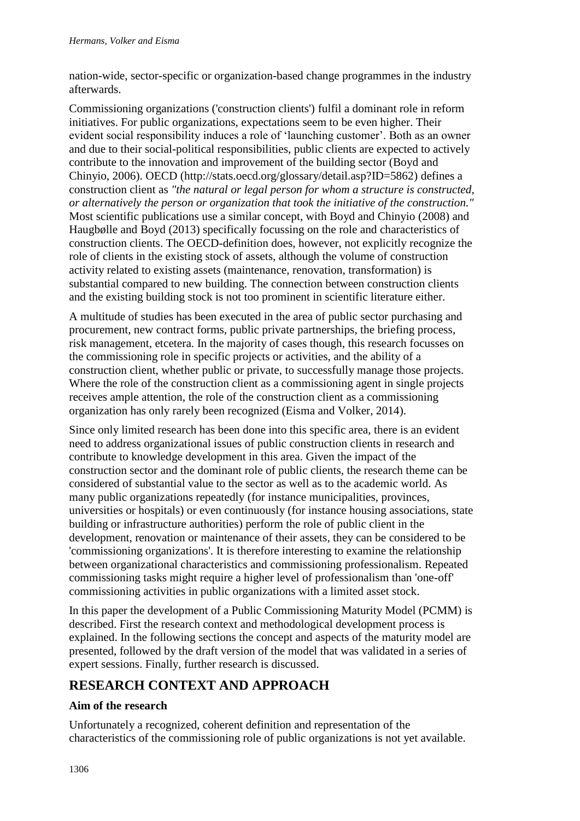nation-wide, sector-specific or organization-based change programmes in the industry afterwards.

Commissioning organizations ('construction clients') fulfil a dominant role in reform initiatives. For public organizations, expectations seem to be even higher. Their evident social responsibility induces a role of 'launching customer'. Both as an owner and due to their social-political responsibilities, public clients are expected to actively contribute to the innovation and improvement of the building sector (Boyd and Chinyio, 2006). OECD (http://stats.oecd.org/glossary/detail.asp?ID=5862) defines a construction client as *"the natural or legal person for whom a structure is constructed, or alternatively the person or organization that took the initiative of the construction."* Most scientific publications use a similar concept, with Boyd and Chinyio (2008) and Haugbølle and Boyd (2013) specifically focussing on the role and characteristics of construction clients. The OECD-definition does, however, not explicitly recognize the role of clients in the existing stock of assets, although the volume of construction activity related to existing assets (maintenance, renovation, transformation) is substantial compared to new building. The connection between construction clients and the existing building stock is not too prominent in scientific literature either.

A multitude of studies has been executed in the area of public sector purchasing and procurement, new contract forms, public private partnerships, the briefing process, risk management, etcetera. In the majority of cases though, this research focusses on the commissioning role in specific projects or activities, and the ability of a construction client, whether public or private, to successfully manage those projects. Where the role of the construction client as a commissioning agent in single projects receives ample attention, the role of the construction client as a commissioning organization has only rarely been recognized (Eisma and Volker, 2014).

Since only limited research has been done into this specific area, there is an evident need to address organizational issues of public construction clients in research and contribute to knowledge development in this area. Given the impact of the construction sector and the dominant role of public clients, the research theme can be considered of substantial value to the sector as well as to the academic world. As many public organizations repeatedly (for instance municipalities, provinces, universities or hospitals) or even continuously (for instance housing associations, state building or infrastructure authorities) perform the role of public client in the development, renovation or maintenance of their assets, they can be considered to be 'commissioning organizations'. It is therefore interesting to examine the relationship between organizational characteristics and commissioning professionalism. Repeated commissioning tasks might require a higher level of professionalism than 'one-off' commissioning activities in public organizations with a limited asset stock.

In this paper the development of a Public Commissioning Maturity Model (PCMM) is described. First the research context and methodological development process is explained. In the following sections the concept and aspects of the maturity model are presented, followed by the draft version of the model that was validated in a series of expert sessions. Finally, further research is discussed.

## **RESEARCH CONTEXT AND APPROACH**

### **Aim of the research**

Unfortunately a recognized, coherent definition and representation of the characteristics of the commissioning role of public organizations is not yet available.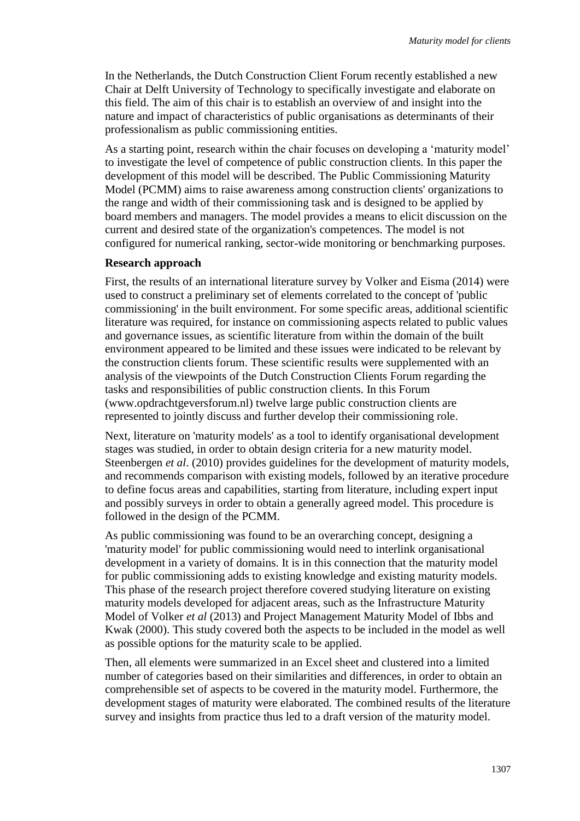In the Netherlands, the Dutch Construction Client Forum recently established a new Chair at Delft University of Technology to specifically investigate and elaborate on this field. The aim of this chair is to establish an overview of and insight into the nature and impact of characteristics of public organisations as determinants of their professionalism as public commissioning entities.

As a starting point, research within the chair focuses on developing a 'maturity model' to investigate the level of competence of public construction clients. In this paper the development of this model will be described. The Public Commissioning Maturity Model (PCMM) aims to raise awareness among construction clients' organizations to the range and width of their commissioning task and is designed to be applied by board members and managers. The model provides a means to elicit discussion on the current and desired state of the organization's competences. The model is not configured for numerical ranking, sector-wide monitoring or benchmarking purposes.

#### **Research approach**

First, the results of an international literature survey by Volker and Eisma (2014) were used to construct a preliminary set of elements correlated to the concept of 'public commissioning' in the built environment. For some specific areas, additional scientific literature was required, for instance on commissioning aspects related to public values and governance issues, as scientific literature from within the domain of the built environment appeared to be limited and these issues were indicated to be relevant by the construction clients forum. These scientific results were supplemented with an analysis of the viewpoints of the Dutch Construction Clients Forum regarding the tasks and responsibilities of public construction clients. In this Forum (www.opdrachtgeversforum.nl) twelve large public construction clients are represented to jointly discuss and further develop their commissioning role.

Next, literature on 'maturity models' as a tool to identify organisational development stages was studied, in order to obtain design criteria for a new maturity model. Steenbergen *et al*. (2010) provides guidelines for the development of maturity models, and recommends comparison with existing models, followed by an iterative procedure to define focus areas and capabilities, starting from literature, including expert input and possibly surveys in order to obtain a generally agreed model. This procedure is followed in the design of the PCMM.

As public commissioning was found to be an overarching concept, designing a 'maturity model' for public commissioning would need to interlink organisational development in a variety of domains. It is in this connection that the maturity model for public commissioning adds to existing knowledge and existing maturity models. This phase of the research project therefore covered studying literature on existing maturity models developed for adjacent areas, such as the Infrastructure Maturity Model of Volker *et al* (2013) and Project Management Maturity Model of Ibbs and Kwak (2000). This study covered both the aspects to be included in the model as well as possible options for the maturity scale to be applied.

Then, all elements were summarized in an Excel sheet and clustered into a limited number of categories based on their similarities and differences, in order to obtain an comprehensible set of aspects to be covered in the maturity model. Furthermore, the development stages of maturity were elaborated. The combined results of the literature survey and insights from practice thus led to a draft version of the maturity model.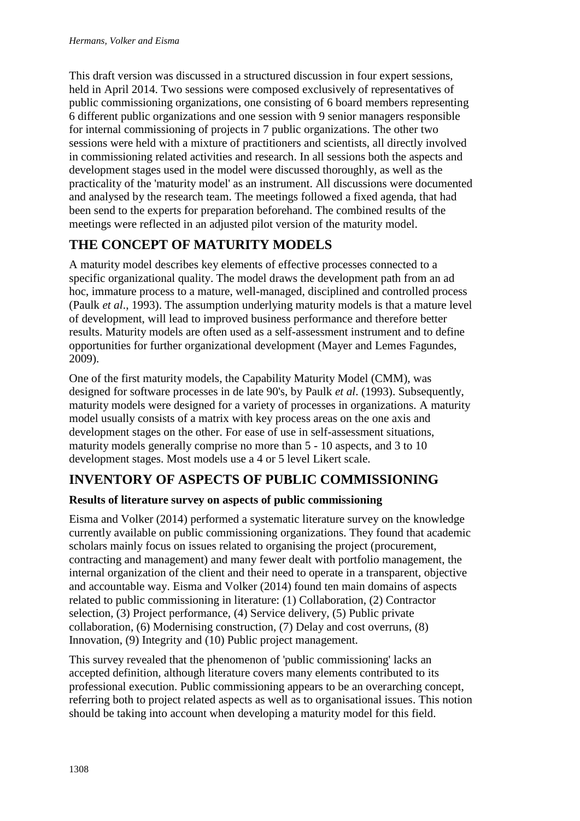This draft version was discussed in a structured discussion in four expert sessions, held in April 2014. Two sessions were composed exclusively of representatives of public commissioning organizations, one consisting of 6 board members representing 6 different public organizations and one session with 9 senior managers responsible for internal commissioning of projects in 7 public organizations. The other two sessions were held with a mixture of practitioners and scientists, all directly involved in commissioning related activities and research. In all sessions both the aspects and development stages used in the model were discussed thoroughly, as well as the practicality of the 'maturity model' as an instrument. All discussions were documented and analysed by the research team. The meetings followed a fixed agenda, that had been send to the experts for preparation beforehand. The combined results of the meetings were reflected in an adjusted pilot version of the maturity model.

# **THE CONCEPT OF MATURITY MODELS**

A maturity model describes key elements of effective processes connected to a specific organizational quality. The model draws the development path from an ad hoc, immature process to a mature, well-managed, disciplined and controlled process (Paulk *et al*., 1993). The assumption underlying maturity models is that a mature level of development, will lead to improved business performance and therefore better results. Maturity models are often used as a self-assessment instrument and to define opportunities for further organizational development (Mayer and Lemes Fagundes, 2009).

One of the first maturity models, the Capability Maturity Model (CMM), was designed for software processes in de late 90's, by Paulk *et al*. (1993). Subsequently, maturity models were designed for a variety of processes in organizations. A maturity model usually consists of a matrix with key process areas on the one axis and development stages on the other. For ease of use in self-assessment situations, maturity models generally comprise no more than 5 - 10 aspects, and 3 to 10 development stages. Most models use a 4 or 5 level Likert scale.

# **INVENTORY OF ASPECTS OF PUBLIC COMMISSIONING**

### **Results of literature survey on aspects of public commissioning**

Eisma and Volker (2014) performed a systematic literature survey on the knowledge currently available on public commissioning organizations. They found that academic scholars mainly focus on issues related to organising the project (procurement, contracting and management) and many fewer dealt with portfolio management, the internal organization of the client and their need to operate in a transparent, objective and accountable way. Eisma and Volker (2014) found ten main domains of aspects related to public commissioning in literature: (1) Collaboration, (2) Contractor selection, (3) Project performance, (4) Service delivery, (5) Public private collaboration, (6) Modernising construction, (7) Delay and cost overruns, (8) Innovation, (9) Integrity and (10) Public project management.

This survey revealed that the phenomenon of 'public commissioning' lacks an accepted definition, although literature covers many elements contributed to its professional execution. Public commissioning appears to be an overarching concept, referring both to project related aspects as well as to organisational issues. This notion should be taking into account when developing a maturity model for this field.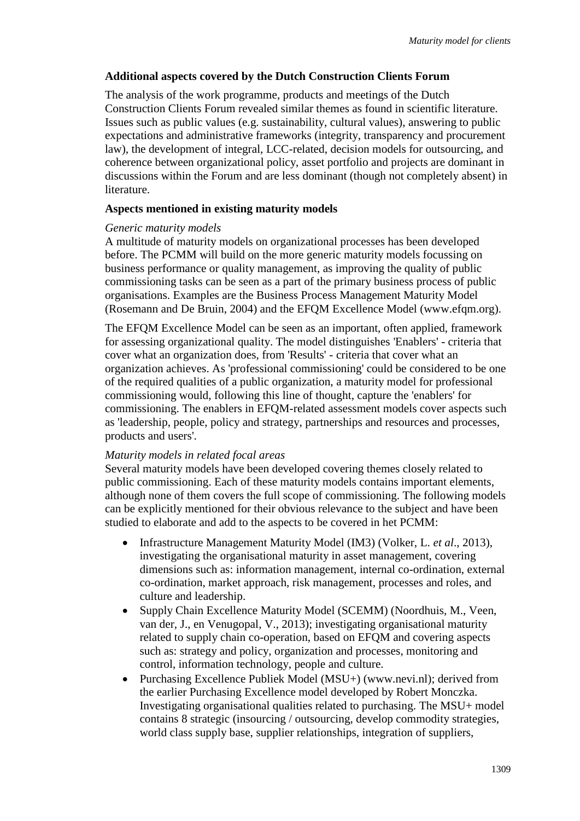### **Additional aspects covered by the Dutch Construction Clients Forum**

The analysis of the work programme, products and meetings of the Dutch Construction Clients Forum revealed similar themes as found in scientific literature. Issues such as public values (e.g. sustainability, cultural values), answering to public expectations and administrative frameworks (integrity, transparency and procurement law), the development of integral, LCC-related, decision models for outsourcing, and coherence between organizational policy, asset portfolio and projects are dominant in discussions within the Forum and are less dominant (though not completely absent) in literature.

#### **Aspects mentioned in existing maturity models**

#### *Generic maturity models*

A multitude of maturity models on organizational processes has been developed before. The PCMM will build on the more generic maturity models focussing on business performance or quality management, as improving the quality of public commissioning tasks can be seen as a part of the primary business process of public organisations. Examples are the Business Process Management Maturity Model (Rosemann and De Bruin, 2004) and the EFQM Excellence Model (www.efqm.org).

The EFQM Excellence Model can be seen as an important, often applied, framework for assessing organizational quality. The model distinguishes 'Enablers' - criteria that cover what an organization does, from 'Results' - criteria that cover what an organization achieves. As 'professional commissioning' could be considered to be one of the required qualities of a public organization, a maturity model for professional commissioning would, following this line of thought, capture the 'enablers' for commissioning. The enablers in EFQM-related assessment models cover aspects such as 'leadership, people, policy and strategy, partnerships and resources and processes, products and users'.

#### *Maturity models in related focal areas*

Several maturity models have been developed covering themes closely related to public commissioning. Each of these maturity models contains important elements, although none of them covers the full scope of commissioning. The following models can be explicitly mentioned for their obvious relevance to the subject and have been studied to elaborate and add to the aspects to be covered in het PCMM:

- · Infrastructure Management Maturity Model (IM3) (Volker, L. *et al*., 2013), investigating the organisational maturity in asset management, covering dimensions such as: information management, internal co-ordination, external co-ordination, market approach, risk management, processes and roles, and culture and leadership.
- · Supply Chain Excellence Maturity Model (SCEMM) (Noordhuis, M., Veen, van der, J., en Venugopal, V., 2013); investigating organisational maturity related to supply chain co-operation, based on EFQM and covering aspects such as: strategy and policy, organization and processes, monitoring and control, information technology, people and culture.
- Purchasing Excellence Publiek Model (MSU+) (www.nevi.nl); derived from the earlier Purchasing Excellence model developed by Robert Monczka. Investigating organisational qualities related to purchasing. The MSU+ model contains 8 strategic (insourcing / outsourcing, develop commodity strategies, world class supply base, supplier relationships, integration of suppliers,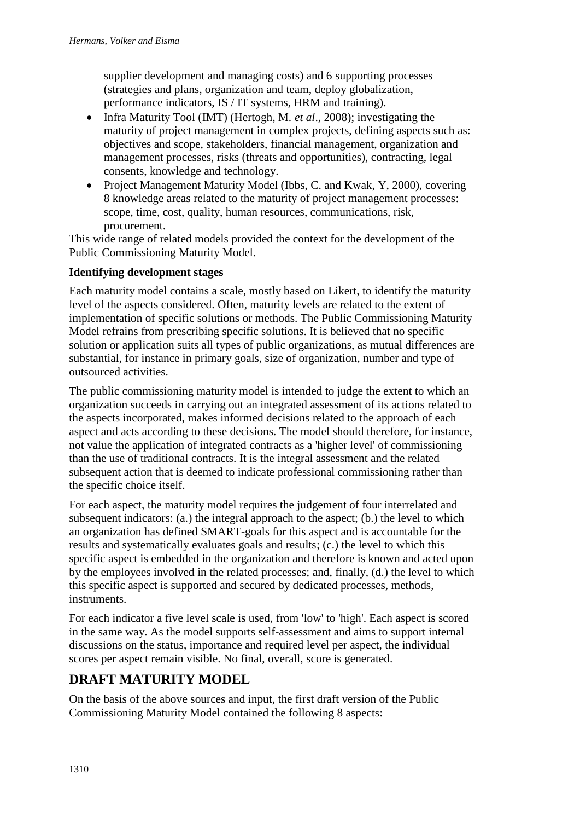supplier development and managing costs) and 6 supporting processes (strategies and plans, organization and team, deploy globalization, performance indicators, IS / IT systems, HRM and training).

- · Infra Maturity Tool (IMT) (Hertogh, M. *et al*., 2008); investigating the maturity of project management in complex projects, defining aspects such as: objectives and scope, stakeholders, financial management, organization and management processes, risks (threats and opportunities), contracting, legal consents, knowledge and technology.
- Project Management Maturity Model (Ibbs, C. and Kwak, Y, 2000), covering 8 knowledge areas related to the maturity of project management processes: scope, time, cost, quality, human resources, communications, risk, procurement.

This wide range of related models provided the context for the development of the Public Commissioning Maturity Model.

### **Identifying development stages**

Each maturity model contains a scale, mostly based on Likert, to identify the maturity level of the aspects considered. Often, maturity levels are related to the extent of implementation of specific solutions or methods. The Public Commissioning Maturity Model refrains from prescribing specific solutions. It is believed that no specific solution or application suits all types of public organizations, as mutual differences are substantial, for instance in primary goals, size of organization, number and type of outsourced activities.

The public commissioning maturity model is intended to judge the extent to which an organization succeeds in carrying out an integrated assessment of its actions related to the aspects incorporated, makes informed decisions related to the approach of each aspect and acts according to these decisions. The model should therefore, for instance, not value the application of integrated contracts as a 'higher level' of commissioning than the use of traditional contracts. It is the integral assessment and the related subsequent action that is deemed to indicate professional commissioning rather than the specific choice itself.

For each aspect, the maturity model requires the judgement of four interrelated and subsequent indicators: (a.) the integral approach to the aspect; (b.) the level to which an organization has defined SMART-goals for this aspect and is accountable for the results and systematically evaluates goals and results; (c.) the level to which this specific aspect is embedded in the organization and therefore is known and acted upon by the employees involved in the related processes; and, finally, (d.) the level to which this specific aspect is supported and secured by dedicated processes, methods, instruments.

For each indicator a five level scale is used, from 'low' to 'high'. Each aspect is scored in the same way. As the model supports self-assessment and aims to support internal discussions on the status, importance and required level per aspect, the individual scores per aspect remain visible. No final, overall, score is generated.

# **DRAFT MATURITY MODEL**

On the basis of the above sources and input, the first draft version of the Public Commissioning Maturity Model contained the following 8 aspects: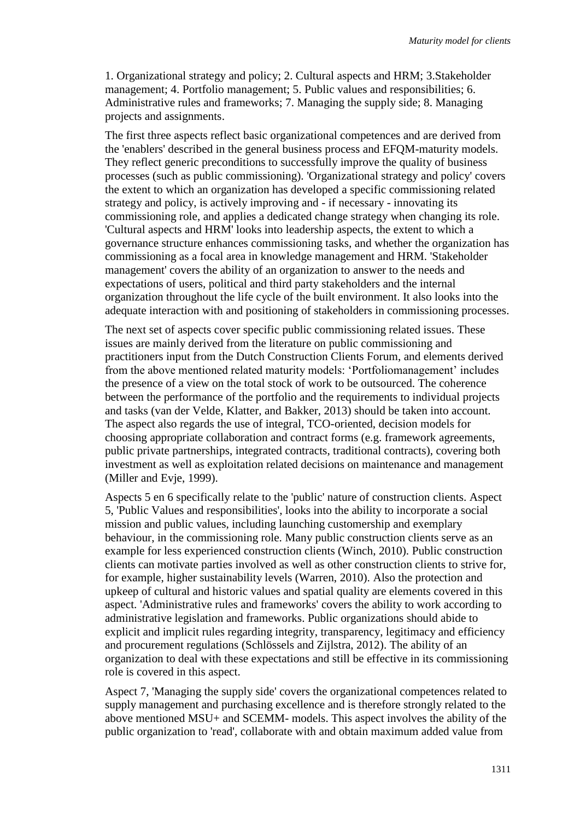1. Organizational strategy and policy; 2. Cultural aspects and HRM; 3.Stakeholder management; 4. Portfolio management; 5. Public values and responsibilities; 6. Administrative rules and frameworks; 7. Managing the supply side; 8. Managing projects and assignments.

The first three aspects reflect basic organizational competences and are derived from the 'enablers' described in the general business process and EFQM-maturity models. They reflect generic preconditions to successfully improve the quality of business processes (such as public commissioning). 'Organizational strategy and policy' covers the extent to which an organization has developed a specific commissioning related strategy and policy, is actively improving and - if necessary - innovating its commissioning role, and applies a dedicated change strategy when changing its role. 'Cultural aspects and HRM' looks into leadership aspects, the extent to which a governance structure enhances commissioning tasks, and whether the organization has commissioning as a focal area in knowledge management and HRM. 'Stakeholder management' covers the ability of an organization to answer to the needs and expectations of users, political and third party stakeholders and the internal organization throughout the life cycle of the built environment. It also looks into the adequate interaction with and positioning of stakeholders in commissioning processes.

The next set of aspects cover specific public commissioning related issues. These issues are mainly derived from the literature on public commissioning and practitioners input from the Dutch Construction Clients Forum, and elements derived from the above mentioned related maturity models: 'Portfoliomanagement' includes the presence of a view on the total stock of work to be outsourced. The coherence between the performance of the portfolio and the requirements to individual projects and tasks (van der Velde, Klatter, and Bakker, 2013) should be taken into account. The aspect also regards the use of integral, TCO-oriented, decision models for choosing appropriate collaboration and contract forms (e.g. framework agreements, public private partnerships, integrated contracts, traditional contracts), covering both investment as well as exploitation related decisions on maintenance and management (Miller and Evje, 1999).

Aspects 5 en 6 specifically relate to the 'public' nature of construction clients. Aspect 5, 'Public Values and responsibilities', looks into the ability to incorporate a social mission and public values, including launching customership and exemplary behaviour, in the commissioning role. Many public construction clients serve as an example for less experienced construction clients (Winch, 2010). Public construction clients can motivate parties involved as well as other construction clients to strive for, for example, higher sustainability levels (Warren, 2010). Also the protection and upkeep of cultural and historic values and spatial quality are elements covered in this aspect. 'Administrative rules and frameworks' covers the ability to work according to administrative legislation and frameworks. Public organizations should abide to explicit and implicit rules regarding integrity, transparency, legitimacy and efficiency and procurement regulations (Schlössels and Zijlstra, 2012). The ability of an organization to deal with these expectations and still be effective in its commissioning role is covered in this aspect.

Aspect 7, 'Managing the supply side' covers the organizational competences related to supply management and purchasing excellence and is therefore strongly related to the above mentioned MSU+ and SCEMM- models. This aspect involves the ability of the public organization to 'read', collaborate with and obtain maximum added value from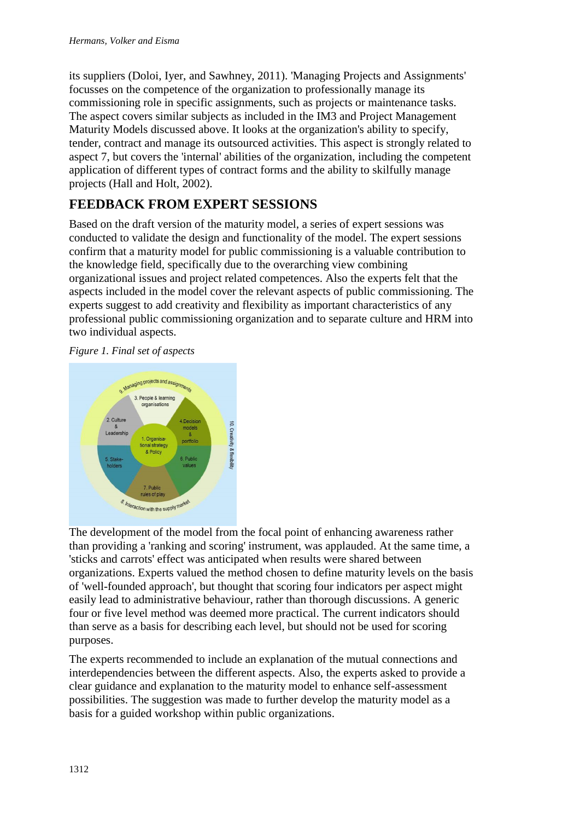its suppliers (Doloi, Iyer, and Sawhney, 2011). 'Managing Projects and Assignments' focusses on the competence of the organization to professionally manage its commissioning role in specific assignments, such as projects or maintenance tasks. The aspect covers similar subjects as included in the IM3 and Project Management Maturity Models discussed above. It looks at the organization's ability to specify, tender, contract and manage its outsourced activities. This aspect is strongly related to aspect 7, but covers the 'internal' abilities of the organization, including the competent application of different types of contract forms and the ability to skilfully manage projects (Hall and Holt, 2002).

# **FEEDBACK FROM EXPERT SESSIONS**

Based on the draft version of the maturity model, a series of expert sessions was conducted to validate the design and functionality of the model. The expert sessions confirm that a maturity model for public commissioning is a valuable contribution to the knowledge field, specifically due to the overarching view combining organizational issues and project related competences. Also the experts felt that the aspects included in the model cover the relevant aspects of public commissioning. The experts suggest to add creativity and flexibility as important characteristics of any professional public commissioning organization and to separate culture and HRM into two individual aspects.

*Figure 1. Final set of aspects* 



The development of the model from the focal point of enhancing awareness rather than providing a 'ranking and scoring' instrument, was applauded. At the same time, a 'sticks and carrots' effect was anticipated when results were shared between organizations. Experts valued the method chosen to define maturity levels on the basis of 'well-founded approach', but thought that scoring four indicators per aspect might easily lead to administrative behaviour, rather than thorough discussions. A generic four or five level method was deemed more practical. The current indicators should than serve as a basis for describing each level, but should not be used for scoring purposes.

The experts recommended to include an explanation of the mutual connections and interdependencies between the different aspects. Also, the experts asked to provide a clear guidance and explanation to the maturity model to enhance self-assessment possibilities. The suggestion was made to further develop the maturity model as a basis for a guided workshop within public organizations.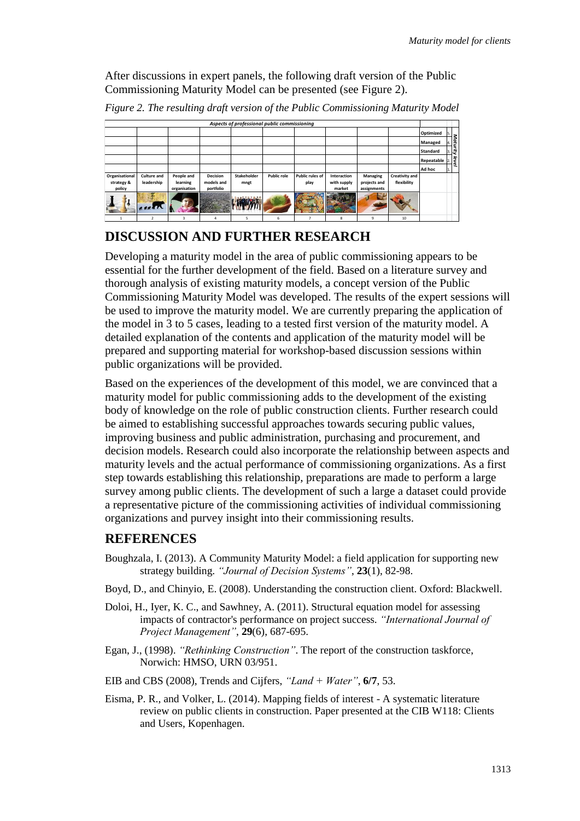After discussions in expert panels, the following draft version of the Public Commissioning Maturity Model can be presented (see Figure 2).

| Aspects of professional public commissioning |                          |              |                 |             |                    |                 |             |              |                |                 |      |
|----------------------------------------------|--------------------------|--------------|-----------------|-------------|--------------------|-----------------|-------------|--------------|----------------|-----------------|------|
|                                              |                          |              |                 |             |                    |                 |             |              |                | Optimized       |      |
|                                              |                          |              |                 |             |                    |                 |             |              |                | Managed         | Matu |
|                                              |                          |              |                 |             |                    |                 |             |              |                | <b>Standard</b> | lą.  |
|                                              |                          |              |                 |             |                    |                 |             |              |                | Repeatable      | leve |
|                                              |                          |              |                 |             |                    |                 |             |              |                | Ad hoc          |      |
| Organisational                               | <b>Culture and</b>       | People and   | <b>Decision</b> | Stakeholder | <b>Public role</b> | Public rules of | Interaction | Managing     | Creativity and |                 |      |
| strategy &                                   | leadership               | learning     | models and      | mngt        |                    | play            | with supply | projects and | flexibility    |                 |      |
| policy                                       |                          | organisation | portfolio       |             |                    |                 | market      | assignments  |                |                 |      |
|                                              | <b>ASSATA</b>            |              |                 |             |                    |                 |             |              |                |                 |      |
|                                              | $\overline{\phantom{a}}$ |              |                 | ς           | 6                  |                 | 8           | q            | 10             |                 |      |

*Figure 2. The resulting draft version of the Public Commissioning Maturity Model*

## **DISCUSSION AND FURTHER RESEARCH**

Developing a maturity model in the area of public commissioning appears to be essential for the further development of the field. Based on a literature survey and thorough analysis of existing maturity models, a concept version of the Public Commissioning Maturity Model was developed. The results of the expert sessions will be used to improve the maturity model. We are currently preparing the application of the model in 3 to 5 cases, leading to a tested first version of the maturity model. A detailed explanation of the contents and application of the maturity model will be prepared and supporting material for workshop-based discussion sessions within public organizations will be provided.

Based on the experiences of the development of this model, we are convinced that a maturity model for public commissioning adds to the development of the existing body of knowledge on the role of public construction clients. Further research could be aimed to establishing successful approaches towards securing public values, improving business and public administration, purchasing and procurement, and decision models. Research could also incorporate the relationship between aspects and maturity levels and the actual performance of commissioning organizations. As a first step towards establishing this relationship, preparations are made to perform a large survey among public clients. The development of such a large a dataset could provide a representative picture of the commissioning activities of individual commissioning organizations and purvey insight into their commissioning results.

## **REFERENCES**

- Boughzala, I. (2013). A Community Maturity Model: a field application for supporting new strategy building. *"Journal of Decision Systems"*, **23**(1), 82-98.
- Boyd, D., and Chinyio, E. (2008). Understanding the construction client. Oxford: Blackwell.
- Doloi, H., Iyer, K. C., and Sawhney, A. (2011). Structural equation model for assessing impacts of contractor's performance on project success. *"International Journal of Project Management"*, **29**(6), 687-695.
- Egan, J., (1998). *"Rethinking Construction"*. The report of the construction taskforce, Norwich: HMSO, URN 03/951.
- EIB and CBS (2008), Trends and Cijfers, *"Land + Water"*, **6/7**, 53.
- Eisma, P. R., and Volker, L. (2014). Mapping fields of interest A systematic literature review on public clients in construction. Paper presented at the CIB W118: Clients and Users, Kopenhagen.